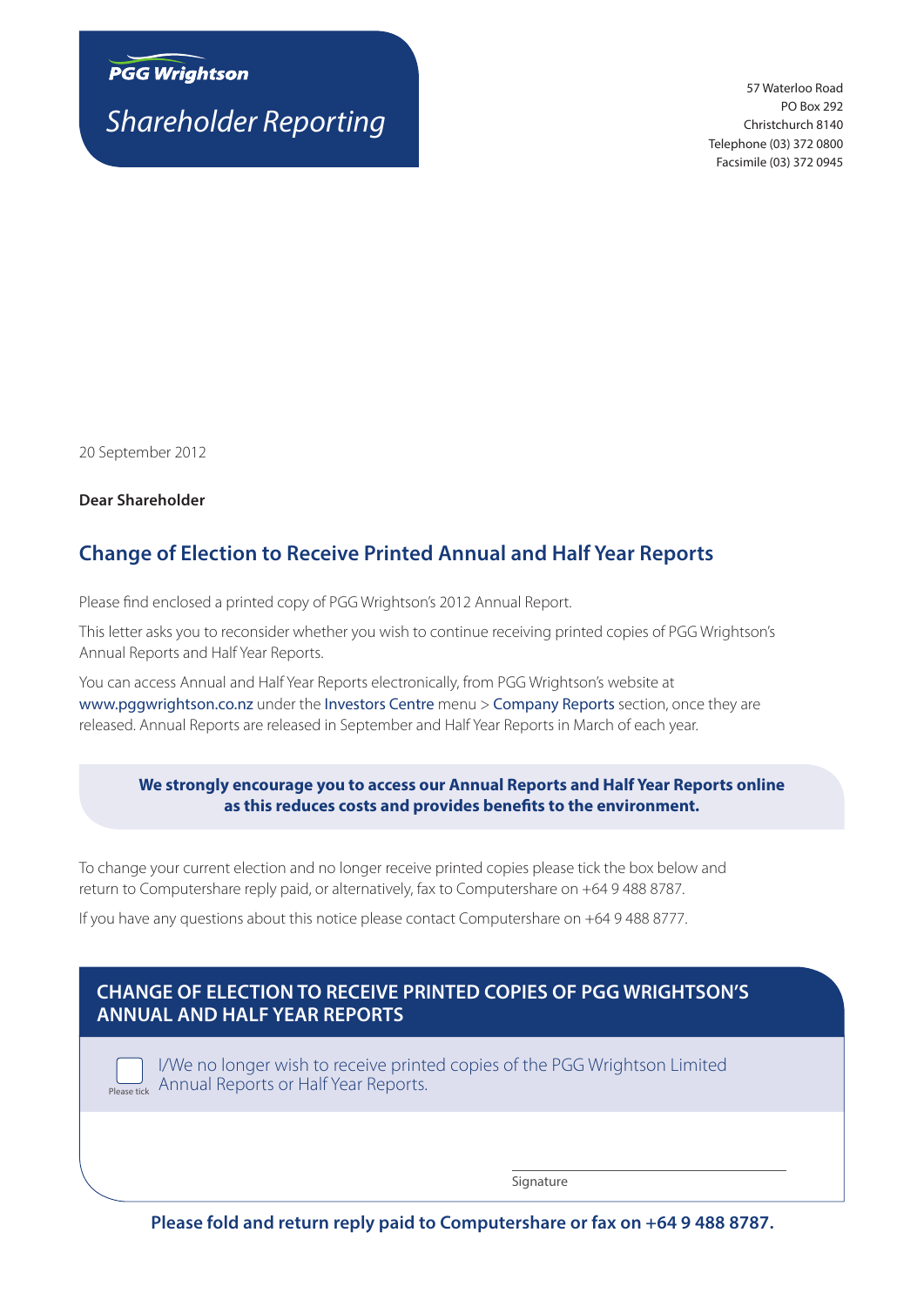

*Shareholder Reporting*

57 Waterloo Road PO Box 292 Christchurch 8140 Telephone (03) 372 0800 Facsimile (03) 372 0945

20 September 2012

**Dear Shareholder**

# **Change of Election to Receive Printed Annual and Half Year Reports**

Please find enclosed a printed copy of PGG Wrightson's 2012 Annual Report.

This letter asks you to reconsider whether you wish to continue receiving printed copies of PGG Wrightson's Annual Reports and Half Year Reports.

You can access Annual and Half Year Reports electronically, from PGG Wrightson's website at www.pggwrightson.co.nz under the Investors Centre menu > Company Reports section, once they are released. Annual Reports are released in September and Half Year Reports in March of each year.

#### **We strongly encourage you to access our Annual Reports and Half Year Reports online as this reduces costs and provides benefits to the environment.**

To change your current election and no longer receive printed copies please tick the box below and return to Computershare reply paid, or alternatively, fax to Computershare on +64 9 488 8787.

If you have any questions about this notice please contact Computershare on +64 9 488 8777.

## **CHANGE OF ELECTION TO RECEIVE PRINTED COPIES OF PGG WRIGHTSON'S ANNUAL AND HALF YEAR REPORTS**

I/We no longer wish to receive printed copies of the PGG Wrightson Limited Please tick Annual Reports or Half Year Reports.

Signature

**Please fold and return reply paid to Computershare or fax on +64 9 488 8787.**